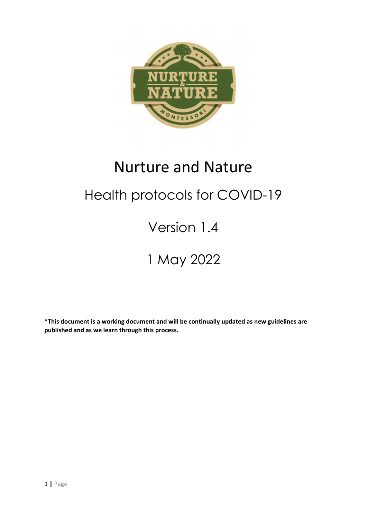

# Nurture and Nature Health protocols for COVID-19 Version 1.4

# 1 May 2022

\*This document is a working document and will be continually updated as new guidelines are published and as we learn through this process.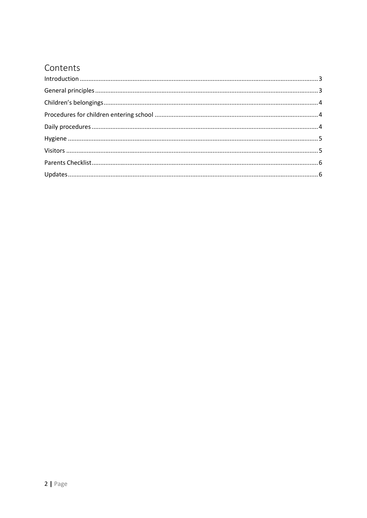#### Contents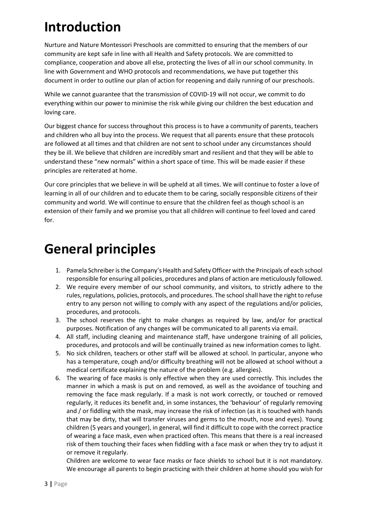### Introduction

Nurture and Nature Montessori Preschools are committed to ensuring that the members of our community are kept safe in line with all Health and Safety protocols. We are committed to compliance, cooperation and above all else, protecting the lives of all in our school community. In line with Government and WHO protocols and recommendations, we have put together this document in order to outline our plan of action for reopening and daily running of our preschools.

While we cannot guarantee that the transmission of COVID-19 will not occur, we commit to do everything within our power to minimise the risk while giving our children the best education and loving care.

Our biggest chance for success throughout this process is to have a community of parents, teachers and children who all buy into the process. We request that all parents ensure that these protocols are followed at all times and that children are not sent to school under any circumstances should they be ill. We believe that children are incredibly smart and resilient and that they will be able to understand these "new normals" within a short space of time. This will be made easier if these principles are reiterated at home.

Our core principles that we believe in will be upheld at all times. We will continue to foster a love of learning in all of our children and to educate them to be caring, socially responsible citizens of their community and world. We will continue to ensure that the children feel as though school is an extension of their family and we promise you that all children will continue to feel loved and cared for.

#### General principles

- 1. Pamela Schreiber is the Company's Health and Safety Officer with the Principals of each school responsible for ensuring all policies, procedures and plans of action are meticulously followed.
- 2. We require every member of our school community, and visitors, to strictly adhere to the rules, regulations, policies, protocols, and procedures. The school shall have the right to refuse entry to any person not willing to comply with any aspect of the regulations and/or policies, procedures, and protocols.
- 3. The school reserves the right to make changes as required by law, and/or for practical purposes. Notification of any changes will be communicated to all parents via email.
- 4. All staff, including cleaning and maintenance staff, have undergone training of all policies, procedures, and protocols and will be continually trained as new information comes to light.
- 5. No sick children, teachers or other staff will be allowed at school. In particular, anyone who has a temperature, cough and/or difficulty breathing will not be allowed at school without a medical certificate explaining the nature of the problem (e.g. allergies).
- 6. The wearing of face masks is only effective when they are used correctly. This includes the manner in which a mask is put on and removed, as well as the avoidance of touching and removing the face mask regularly. If a mask is not work correctly, or touched or removed regularly, it reduces its benefit and, in some instances, the 'behaviour' of regularly removing and / or fiddling with the mask, may increase the risk of infection (as it is touched with hands that may be dirty, that will transfer viruses and germs to the mouth, nose and eyes). Young children (5 years and younger), in general, will find it difficult to cope with the correct practice of wearing a face mask, even when practiced often. This means that there is a real increased risk of them touching their faces when fiddling with a face mask or when they try to adjust it or remove it regularly.

Children are welcome to wear face masks or face shields to school but it is not mandatory. We encourage all parents to begin practicing with their children at home should you wish for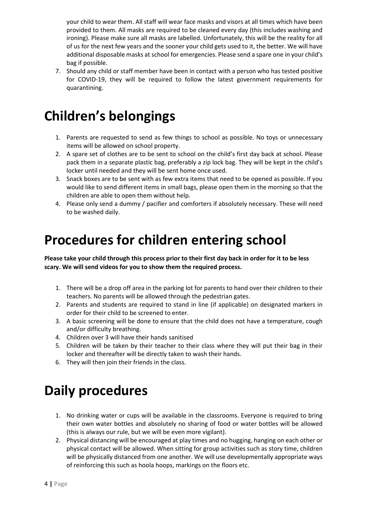your child to wear them. All staff will wear face masks and visors at all times which have been provided to them. All masks are required to be cleaned every day (this includes washing and ironing). Please make sure all masks are labelled. Unfortunately, this will be the reality for all of us for the next few years and the sooner your child gets used to it, the better. We will have additional disposable masks at school for emergencies. Please send a spare one in your child's bag if possible.

7. Should any child or staff member have been in contact with a person who has tested positive for COVID-19, they will be required to follow the latest government requirements for quarantining.

#### Children's belongings

- 1. Parents are requested to send as few things to school as possible. No toys or unnecessary items will be allowed on school property.
- 2. A spare set of clothes are to be sent to school on the child's first day back at school. Please pack them in a separate plastic bag, preferably a zip lock bag. They will be kept in the child's locker until needed and they will be sent home once used.
- 3. Snack boxes are to be sent with as few extra items that need to be opened as possible. If you would like to send different items in small bags, please open them in the morning so that the children are able to open them without help.
- 4. Please only send a dummy / pacifier and comforters if absolutely necessary. These will need to be washed daily.

#### Procedures for children entering school

Please take your child through this process prior to their first day back in order for it to be less scary. We will send videos for you to show them the required process.

- 1. There will be a drop off area in the parking lot for parents to hand over their children to their teachers. No parents will be allowed through the pedestrian gates.
- 2. Parents and students are required to stand in line (if applicable) on designated markers in order for their child to be screened to enter.
- 3. A basic screening will be done to ensure that the child does not have a temperature, cough and/or difficulty breathing.
- 4. Children over 3 will have their hands sanitised
- 5. Children will be taken by their teacher to their class where they will put their bag in their locker and thereafter will be directly taken to wash their hands.
- 6. They will then join their friends in the class.

#### Daily procedures

- 1. No drinking water or cups will be available in the classrooms. Everyone is required to bring their own water bottles and absolutely no sharing of food or water bottles will be allowed (this is always our rule, but we will be even more vigilant).
- 2. Physical distancing will be encouraged at play times and no hugging, hanging on each other or physical contact will be allowed. When sitting for group activities such as story time, children will be physically distanced from one another. We will use developmentally appropriate ways of reinforcing this such as hoola hoops, markings on the floors etc.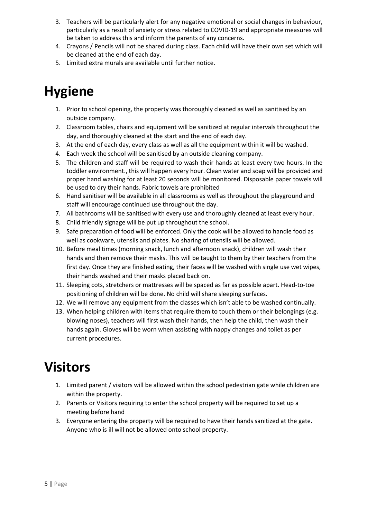- 3. Teachers will be particularly alert for any negative emotional or social changes in behaviour, particularly as a result of anxiety or stress related to COVID-19 and appropriate measures will be taken to address this and inform the parents of any concerns.
- 4. Crayons / Pencils will not be shared during class. Each child will have their own set which will be cleaned at the end of each day.
- 5. Limited extra murals are available until further notice.

## Hygiene

- 1. Prior to school opening, the property was thoroughly cleaned as well as sanitised by an outside company.
- 2. Classroom tables, chairs and equipment will be sanitized at regular intervals throughout the day, and thoroughly cleaned at the start and the end of each day.
- 3. At the end of each day, every class as well as all the equipment within it will be washed.
- 4. Each week the school will be sanitised by an outside cleaning company.
- 5. The children and staff will be required to wash their hands at least every two hours. In the toddler environment., this will happen every hour. Clean water and soap will be provided and proper hand washing for at least 20 seconds will be monitored. Disposable paper towels will be used to dry their hands. Fabric towels are prohibited
- 6. Hand sanitiser will be available in all classrooms as well as throughout the playground and staff will encourage continued use throughout the day.
- 7. All bathrooms will be sanitised with every use and thoroughly cleaned at least every hour.
- 8. Child friendly signage will be put up throughout the school.
- 9. Safe preparation of food will be enforced. Only the cook will be allowed to handle food as well as cookware, utensils and plates. No sharing of utensils will be allowed.
- 10. Before meal times (morning snack, lunch and afternoon snack), children will wash their hands and then remove their masks. This will be taught to them by their teachers from the first day. Once they are finished eating, their faces will be washed with single use wet wipes, their hands washed and their masks placed back on.
- 11. Sleeping cots, stretchers or mattresses will be spaced as far as possible apart. Head-to-toe positioning of children will be done. No child will share sleeping surfaces.
- 12. We will remove any equipment from the classes which isn't able to be washed continually.
- 13. When helping children with items that require them to touch them or their belongings (e.g. blowing noses), teachers will first wash their hands, then help the child, then wash their hands again. Gloves will be worn when assisting with nappy changes and toilet as per current procedures.

#### Visitors

- 1. Limited parent / visitors will be allowed within the school pedestrian gate while children are within the property.
- 2. Parents or Visitors requiring to enter the school property will be required to set up a meeting before hand
- 3. Everyone entering the property will be required to have their hands sanitized at the gate. Anyone who is ill will not be allowed onto school property.